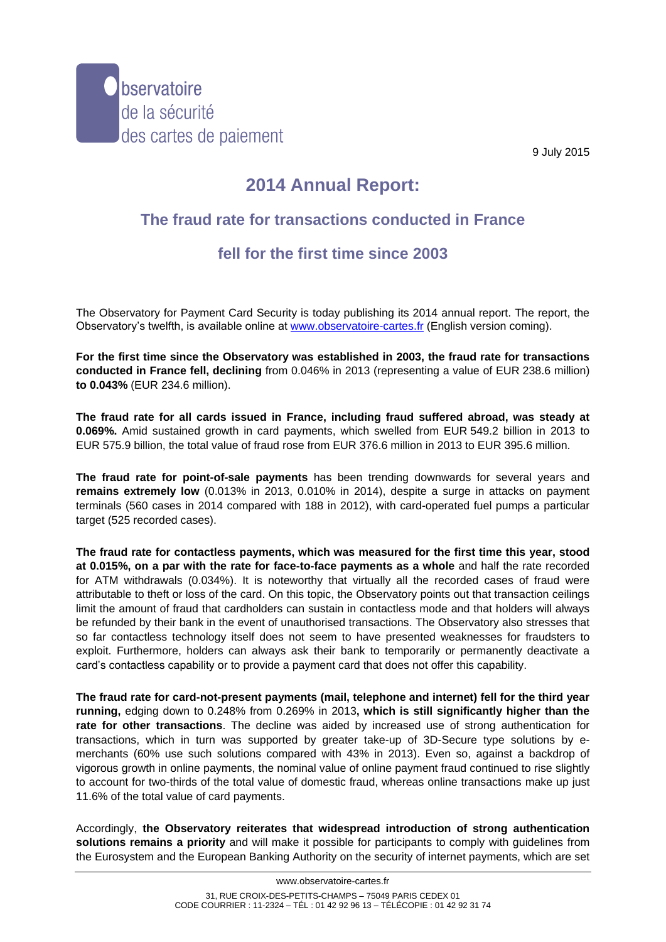

9 July 2015

## **2014 Annual Report:**

## **The fraud rate for transactions conducted in France**

## **fell for the first time since 2003**

The Observatory for Payment Card Security is today publishing its 2014 annual report. The report, the Observatory's twelfth, is available online at [www.observatoire-cartes.fr](http://www.observatoire-cartes.fr/) (English version coming).

**For the first time since the Observatory was established in 2003, the fraud rate for transactions conducted in France fell, declining** from 0.046% in 2013 (representing a value of EUR 238.6 million) **to 0.043%** (EUR 234.6 million).

**The fraud rate for all cards issued in France, including fraud suffered abroad, was steady at 0.069%.** Amid sustained growth in card payments, which swelled from EUR 549.2 billion in 2013 to EUR 575.9 billion, the total value of fraud rose from EUR 376.6 million in 2013 to EUR 395.6 million.

**The fraud rate for point-of-sale payments** has been trending downwards for several years and **remains extremely low** (0.013% in 2013, 0.010% in 2014), despite a surge in attacks on payment terminals (560 cases in 2014 compared with 188 in 2012), with card-operated fuel pumps a particular target (525 recorded cases).

**The fraud rate for contactless payments, which was measured for the first time this year, stood at 0.015%, on a par with the rate for face-to-face payments as a whole** and half the rate recorded for ATM withdrawals (0.034%). It is noteworthy that virtually all the recorded cases of fraud were attributable to theft or loss of the card. On this topic, the Observatory points out that transaction ceilings limit the amount of fraud that cardholders can sustain in contactless mode and that holders will always be refunded by their bank in the event of unauthorised transactions. The Observatory also stresses that so far contactless technology itself does not seem to have presented weaknesses for fraudsters to exploit. Furthermore, holders can always ask their bank to temporarily or permanently deactivate a card's contactless capability or to provide a payment card that does not offer this capability.

**The fraud rate for card-not-present payments (mail, telephone and internet) fell for the third year running,** edging down to 0.248% from 0.269% in 2013**, which is still significantly higher than the rate for other transactions**. The decline was aided by increased use of strong authentication for transactions, which in turn was supported by greater take-up of 3D-Secure type solutions by emerchants (60% use such solutions compared with 43% in 2013). Even so, against a backdrop of vigorous growth in online payments, the nominal value of online payment fraud continued to rise slightly to account for two-thirds of the total value of domestic fraud, whereas online transactions make up just 11.6% of the total value of card payments.

Accordingly, **the Observatory reiterates that widespread introduction of strong authentication solutions remains a priority** and will make it possible for participants to comply with guidelines from the Eurosystem and the European Banking Authority on the security of internet payments, which are set